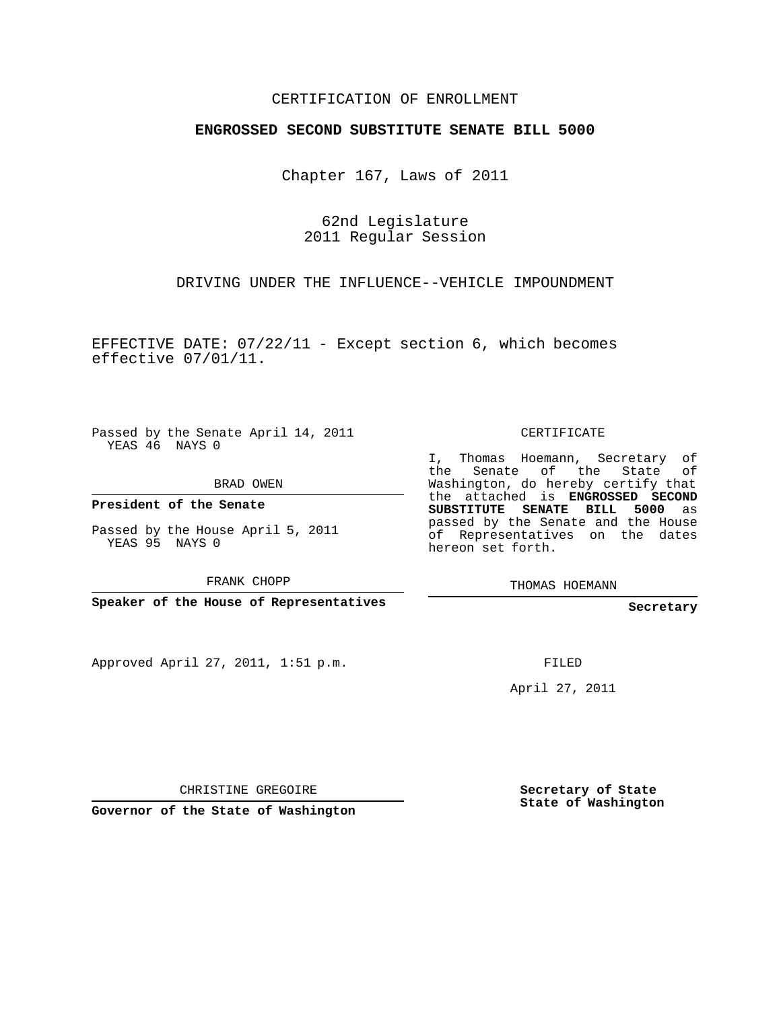## CERTIFICATION OF ENROLLMENT

## **ENGROSSED SECOND SUBSTITUTE SENATE BILL 5000**

Chapter 167, Laws of 2011

62nd Legislature 2011 Regular Session

DRIVING UNDER THE INFLUENCE--VEHICLE IMPOUNDMENT

EFFECTIVE DATE: 07/22/11 - Except section 6, which becomes effective 07/01/11.

Passed by the Senate April 14, 2011 YEAS 46 NAYS 0

BRAD OWEN

**President of the Senate**

Passed by the House April 5, 2011 YEAS 95 NAYS 0

FRANK CHOPP

**Speaker of the House of Representatives**

Approved April 27, 2011, 1:51 p.m.

CERTIFICATE

I, Thomas Hoemann, Secretary of the Senate of the State Washington, do hereby certify that the attached is **ENGROSSED SECOND SUBSTITUTE SENATE BILL 5000** as passed by the Senate and the House of Representatives on the dates hereon set forth.

THOMAS HOEMANN

**Secretary**

FILED

April 27, 2011

CHRISTINE GREGOIRE

**Governor of the State of Washington**

**Secretary of State State of Washington**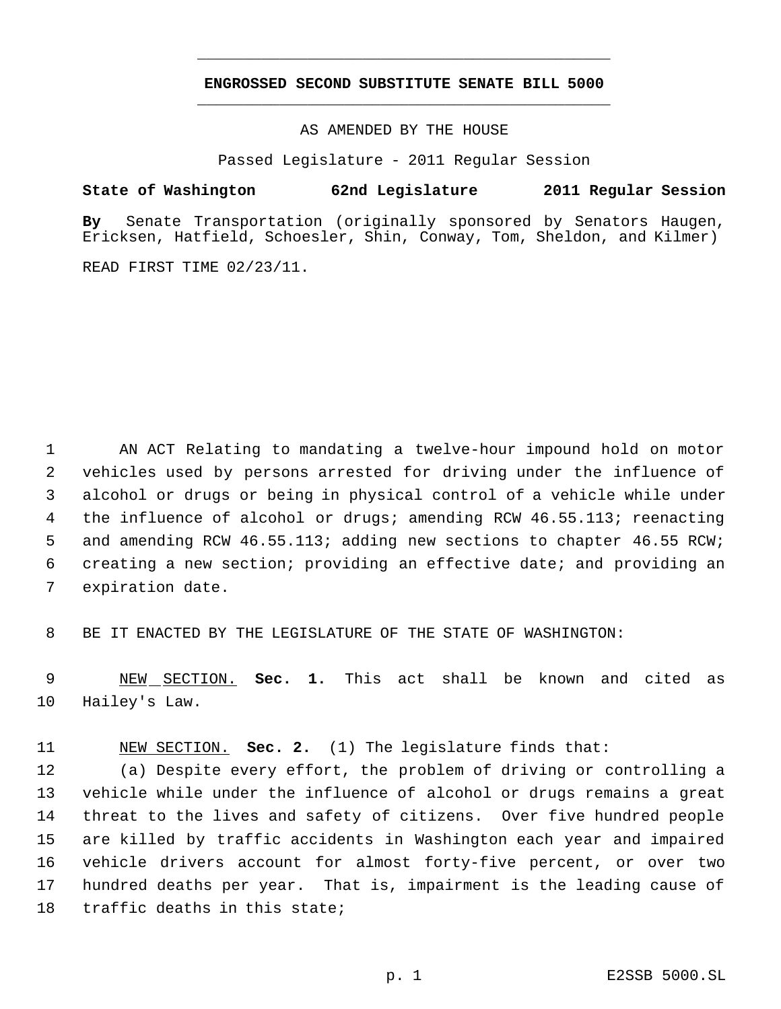## **ENGROSSED SECOND SUBSTITUTE SENATE BILL 5000** \_\_\_\_\_\_\_\_\_\_\_\_\_\_\_\_\_\_\_\_\_\_\_\_\_\_\_\_\_\_\_\_\_\_\_\_\_\_\_\_\_\_\_\_\_

\_\_\_\_\_\_\_\_\_\_\_\_\_\_\_\_\_\_\_\_\_\_\_\_\_\_\_\_\_\_\_\_\_\_\_\_\_\_\_\_\_\_\_\_\_

AS AMENDED BY THE HOUSE

Passed Legislature - 2011 Regular Session

## **State of Washington 62nd Legislature 2011 Regular Session**

**By** Senate Transportation (originally sponsored by Senators Haugen, Ericksen, Hatfield, Schoesler, Shin, Conway, Tom, Sheldon, and Kilmer)

READ FIRST TIME 02/23/11.

 AN ACT Relating to mandating a twelve-hour impound hold on motor vehicles used by persons arrested for driving under the influence of alcohol or drugs or being in physical control of a vehicle while under 4 the influence of alcohol or drugs; amending RCW 46.55.113; reenacting and amending RCW 46.55.113; adding new sections to chapter 46.55 RCW; creating a new section; providing an effective date; and providing an expiration date.

BE IT ENACTED BY THE LEGISLATURE OF THE STATE OF WASHINGTON:

 NEW SECTION. **Sec. 1.** This act shall be known and cited as Hailey's Law.

NEW SECTION. **Sec. 2.** (1) The legislature finds that:

 (a) Despite every effort, the problem of driving or controlling a vehicle while under the influence of alcohol or drugs remains a great threat to the lives and safety of citizens. Over five hundred people are killed by traffic accidents in Washington each year and impaired vehicle drivers account for almost forty-five percent, or over two hundred deaths per year. That is, impairment is the leading cause of traffic deaths in this state;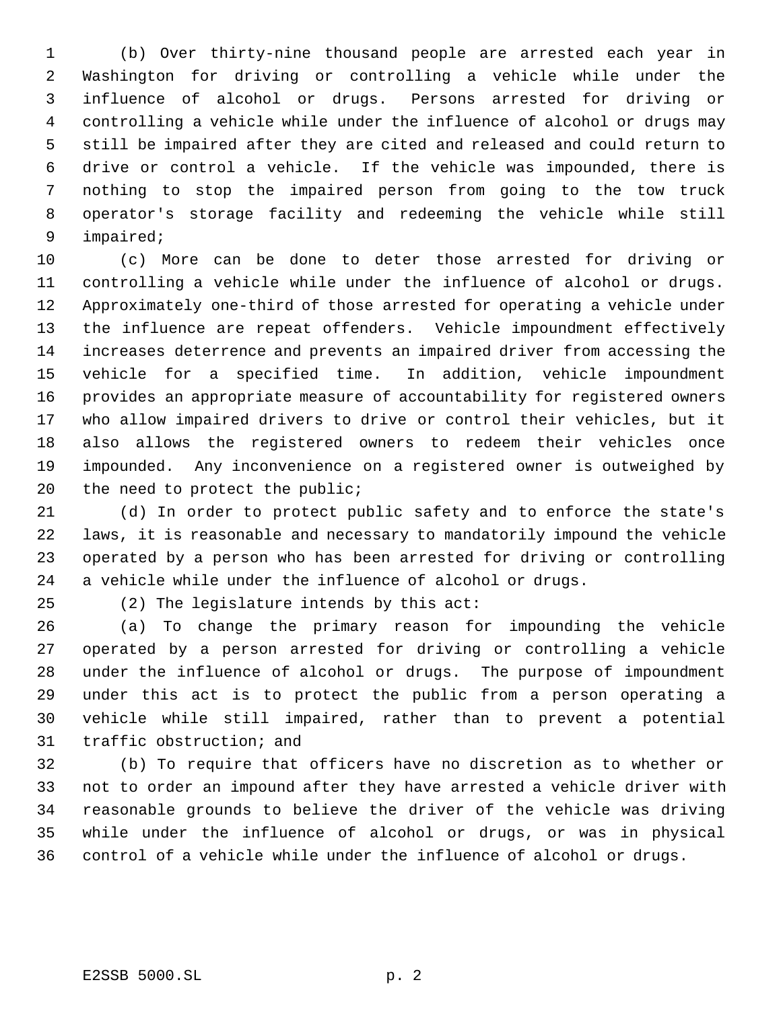(b) Over thirty-nine thousand people are arrested each year in Washington for driving or controlling a vehicle while under the influence of alcohol or drugs. Persons arrested for driving or controlling a vehicle while under the influence of alcohol or drugs may still be impaired after they are cited and released and could return to drive or control a vehicle. If the vehicle was impounded, there is nothing to stop the impaired person from going to the tow truck operator's storage facility and redeeming the vehicle while still impaired;

 (c) More can be done to deter those arrested for driving or controlling a vehicle while under the influence of alcohol or drugs. Approximately one-third of those arrested for operating a vehicle under the influence are repeat offenders. Vehicle impoundment effectively increases deterrence and prevents an impaired driver from accessing the vehicle for a specified time. In addition, vehicle impoundment provides an appropriate measure of accountability for registered owners who allow impaired drivers to drive or control their vehicles, but it also allows the registered owners to redeem their vehicles once impounded. Any inconvenience on a registered owner is outweighed by the need to protect the public;

 (d) In order to protect public safety and to enforce the state's laws, it is reasonable and necessary to mandatorily impound the vehicle operated by a person who has been arrested for driving or controlling a vehicle while under the influence of alcohol or drugs.

(2) The legislature intends by this act:

 (a) To change the primary reason for impounding the vehicle operated by a person arrested for driving or controlling a vehicle under the influence of alcohol or drugs. The purpose of impoundment under this act is to protect the public from a person operating a vehicle while still impaired, rather than to prevent a potential traffic obstruction; and

 (b) To require that officers have no discretion as to whether or not to order an impound after they have arrested a vehicle driver with reasonable grounds to believe the driver of the vehicle was driving while under the influence of alcohol or drugs, or was in physical control of a vehicle while under the influence of alcohol or drugs.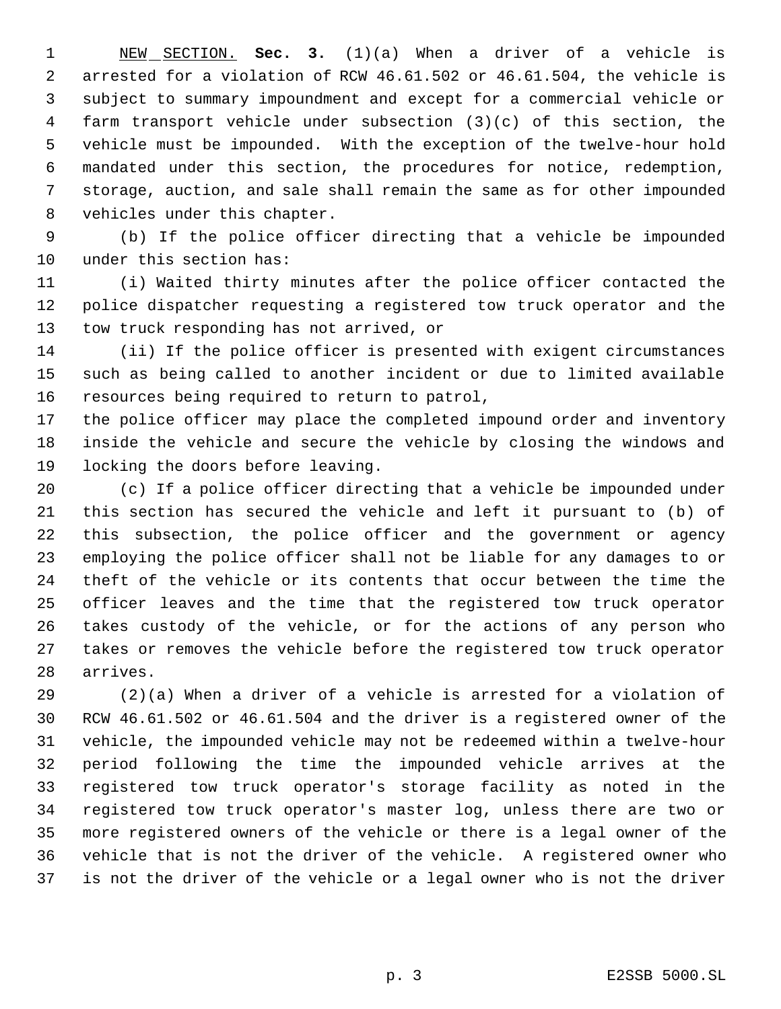NEW SECTION. **Sec. 3.** (1)(a) When a driver of a vehicle is arrested for a violation of RCW 46.61.502 or 46.61.504, the vehicle is subject to summary impoundment and except for a commercial vehicle or farm transport vehicle under subsection (3)(c) of this section, the vehicle must be impounded. With the exception of the twelve-hour hold mandated under this section, the procedures for notice, redemption, storage, auction, and sale shall remain the same as for other impounded vehicles under this chapter.

 (b) If the police officer directing that a vehicle be impounded under this section has:

 (i) Waited thirty minutes after the police officer contacted the police dispatcher requesting a registered tow truck operator and the tow truck responding has not arrived, or

 (ii) If the police officer is presented with exigent circumstances such as being called to another incident or due to limited available resources being required to return to patrol,

 the police officer may place the completed impound order and inventory inside the vehicle and secure the vehicle by closing the windows and locking the doors before leaving.

 (c) If a police officer directing that a vehicle be impounded under this section has secured the vehicle and left it pursuant to (b) of this subsection, the police officer and the government or agency employing the police officer shall not be liable for any damages to or theft of the vehicle or its contents that occur between the time the officer leaves and the time that the registered tow truck operator takes custody of the vehicle, or for the actions of any person who takes or removes the vehicle before the registered tow truck operator arrives.

 (2)(a) When a driver of a vehicle is arrested for a violation of RCW 46.61.502 or 46.61.504 and the driver is a registered owner of the vehicle, the impounded vehicle may not be redeemed within a twelve-hour period following the time the impounded vehicle arrives at the registered tow truck operator's storage facility as noted in the registered tow truck operator's master log, unless there are two or more registered owners of the vehicle or there is a legal owner of the vehicle that is not the driver of the vehicle. A registered owner who is not the driver of the vehicle or a legal owner who is not the driver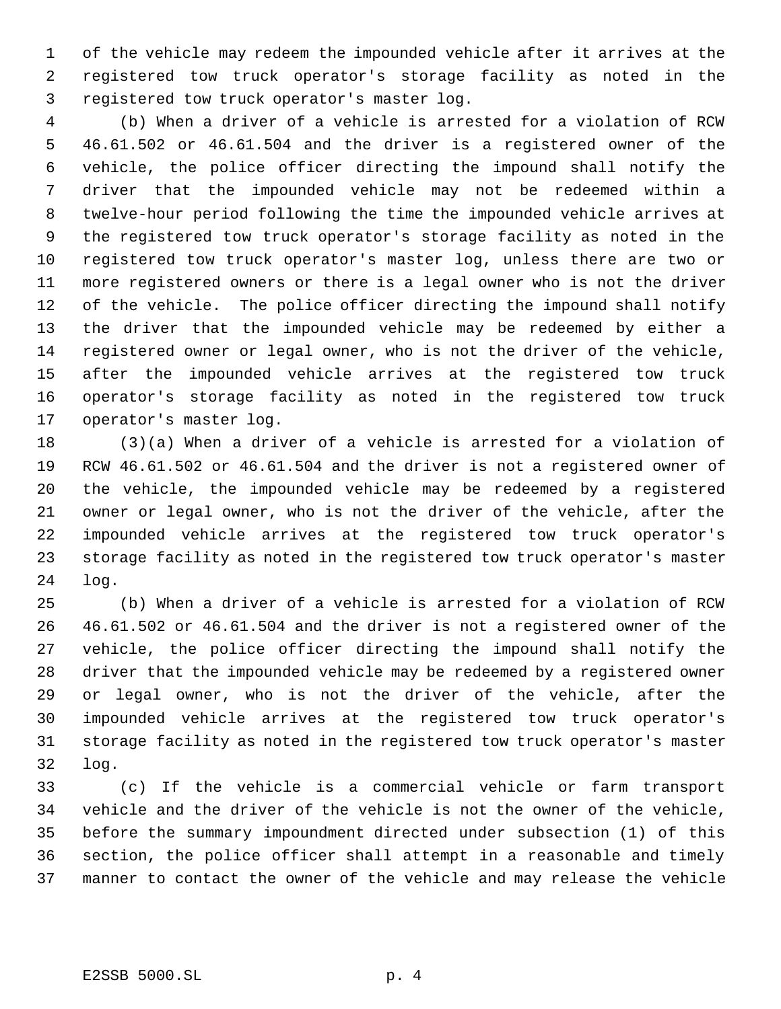of the vehicle may redeem the impounded vehicle after it arrives at the registered tow truck operator's storage facility as noted in the registered tow truck operator's master log.

 (b) When a driver of a vehicle is arrested for a violation of RCW 46.61.502 or 46.61.504 and the driver is a registered owner of the vehicle, the police officer directing the impound shall notify the driver that the impounded vehicle may not be redeemed within a twelve-hour period following the time the impounded vehicle arrives at the registered tow truck operator's storage facility as noted in the registered tow truck operator's master log, unless there are two or more registered owners or there is a legal owner who is not the driver of the vehicle. The police officer directing the impound shall notify the driver that the impounded vehicle may be redeemed by either a registered owner or legal owner, who is not the driver of the vehicle, after the impounded vehicle arrives at the registered tow truck operator's storage facility as noted in the registered tow truck operator's master log.

 (3)(a) When a driver of a vehicle is arrested for a violation of RCW 46.61.502 or 46.61.504 and the driver is not a registered owner of the vehicle, the impounded vehicle may be redeemed by a registered owner or legal owner, who is not the driver of the vehicle, after the impounded vehicle arrives at the registered tow truck operator's storage facility as noted in the registered tow truck operator's master log.

 (b) When a driver of a vehicle is arrested for a violation of RCW 46.61.502 or 46.61.504 and the driver is not a registered owner of the vehicle, the police officer directing the impound shall notify the driver that the impounded vehicle may be redeemed by a registered owner or legal owner, who is not the driver of the vehicle, after the impounded vehicle arrives at the registered tow truck operator's storage facility as noted in the registered tow truck operator's master log.

 (c) If the vehicle is a commercial vehicle or farm transport vehicle and the driver of the vehicle is not the owner of the vehicle, before the summary impoundment directed under subsection (1) of this section, the police officer shall attempt in a reasonable and timely manner to contact the owner of the vehicle and may release the vehicle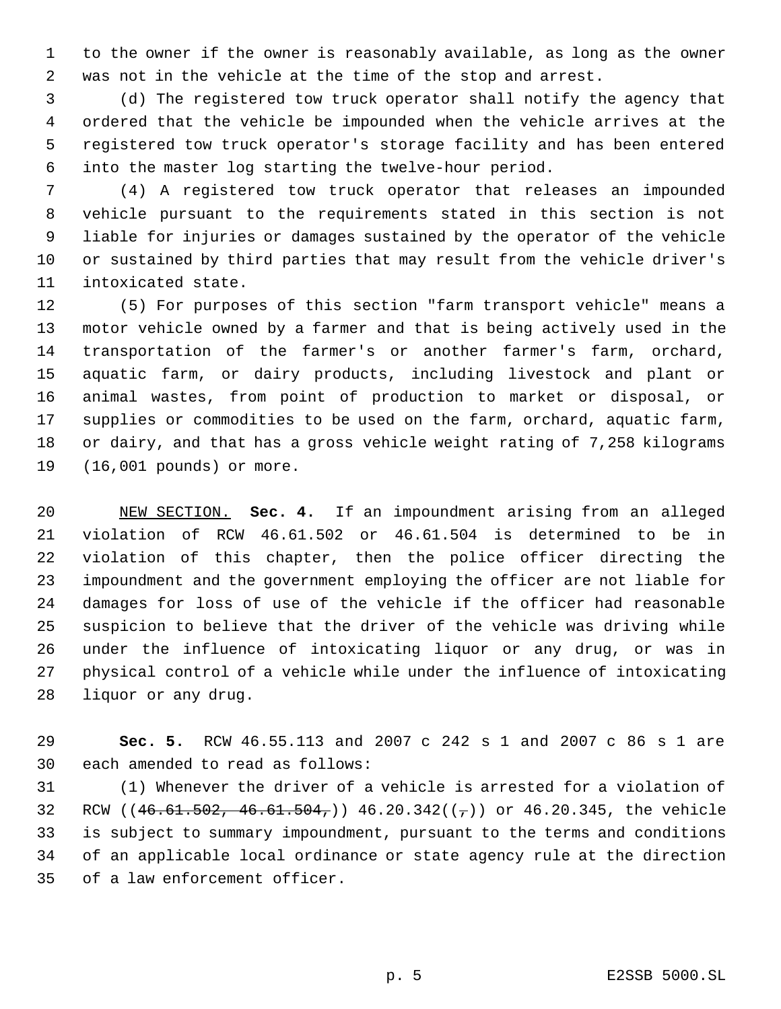to the owner if the owner is reasonably available, as long as the owner was not in the vehicle at the time of the stop and arrest.

 (d) The registered tow truck operator shall notify the agency that ordered that the vehicle be impounded when the vehicle arrives at the registered tow truck operator's storage facility and has been entered into the master log starting the twelve-hour period.

 (4) A registered tow truck operator that releases an impounded vehicle pursuant to the requirements stated in this section is not liable for injuries or damages sustained by the operator of the vehicle or sustained by third parties that may result from the vehicle driver's intoxicated state.

 (5) For purposes of this section "farm transport vehicle" means a motor vehicle owned by a farmer and that is being actively used in the transportation of the farmer's or another farmer's farm, orchard, aquatic farm, or dairy products, including livestock and plant or animal wastes, from point of production to market or disposal, or supplies or commodities to be used on the farm, orchard, aquatic farm, or dairy, and that has a gross vehicle weight rating of 7,258 kilograms (16,001 pounds) or more.

 NEW SECTION. **Sec. 4.** If an impoundment arising from an alleged violation of RCW 46.61.502 or 46.61.504 is determined to be in violation of this chapter, then the police officer directing the impoundment and the government employing the officer are not liable for damages for loss of use of the vehicle if the officer had reasonable suspicion to believe that the driver of the vehicle was driving while under the influence of intoxicating liquor or any drug, or was in physical control of a vehicle while under the influence of intoxicating liquor or any drug.

 **Sec. 5.** RCW 46.55.113 and 2007 c 242 s 1 and 2007 c 86 s 1 are each amended to read as follows:

 (1) Whenever the driver of a vehicle is arrested for a violation of 32 RCW ( $(46.61.502, 46.61.504, )$  46.20.342( $(\tau)$ ) or 46.20.345, the vehicle is subject to summary impoundment, pursuant to the terms and conditions of an applicable local ordinance or state agency rule at the direction of a law enforcement officer.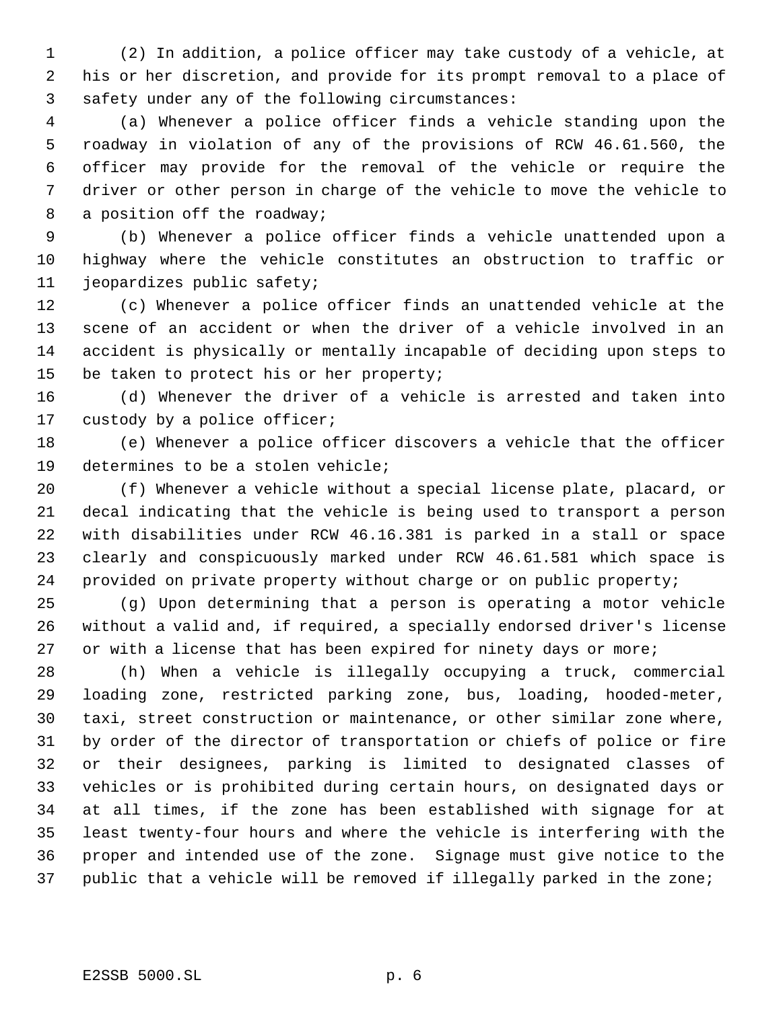(2) In addition, a police officer may take custody of a vehicle, at his or her discretion, and provide for its prompt removal to a place of safety under any of the following circumstances:

 (a) Whenever a police officer finds a vehicle standing upon the roadway in violation of any of the provisions of RCW 46.61.560, the officer may provide for the removal of the vehicle or require the driver or other person in charge of the vehicle to move the vehicle to 8 a position off the roadway;

 (b) Whenever a police officer finds a vehicle unattended upon a highway where the vehicle constitutes an obstruction to traffic or jeopardizes public safety;

 (c) Whenever a police officer finds an unattended vehicle at the scene of an accident or when the driver of a vehicle involved in an accident is physically or mentally incapable of deciding upon steps to be taken to protect his or her property;

 (d) Whenever the driver of a vehicle is arrested and taken into custody by a police officer;

 (e) Whenever a police officer discovers a vehicle that the officer determines to be a stolen vehicle;

 (f) Whenever a vehicle without a special license plate, placard, or decal indicating that the vehicle is being used to transport a person with disabilities under RCW 46.16.381 is parked in a stall or space clearly and conspicuously marked under RCW 46.61.581 which space is provided on private property without charge or on public property;

 (g) Upon determining that a person is operating a motor vehicle without a valid and, if required, a specially endorsed driver's license 27 or with a license that has been expired for ninety days or more;

 (h) When a vehicle is illegally occupying a truck, commercial loading zone, restricted parking zone, bus, loading, hooded-meter, taxi, street construction or maintenance, or other similar zone where, by order of the director of transportation or chiefs of police or fire or their designees, parking is limited to designated classes of vehicles or is prohibited during certain hours, on designated days or at all times, if the zone has been established with signage for at least twenty-four hours and where the vehicle is interfering with the proper and intended use of the zone. Signage must give notice to the public that a vehicle will be removed if illegally parked in the zone;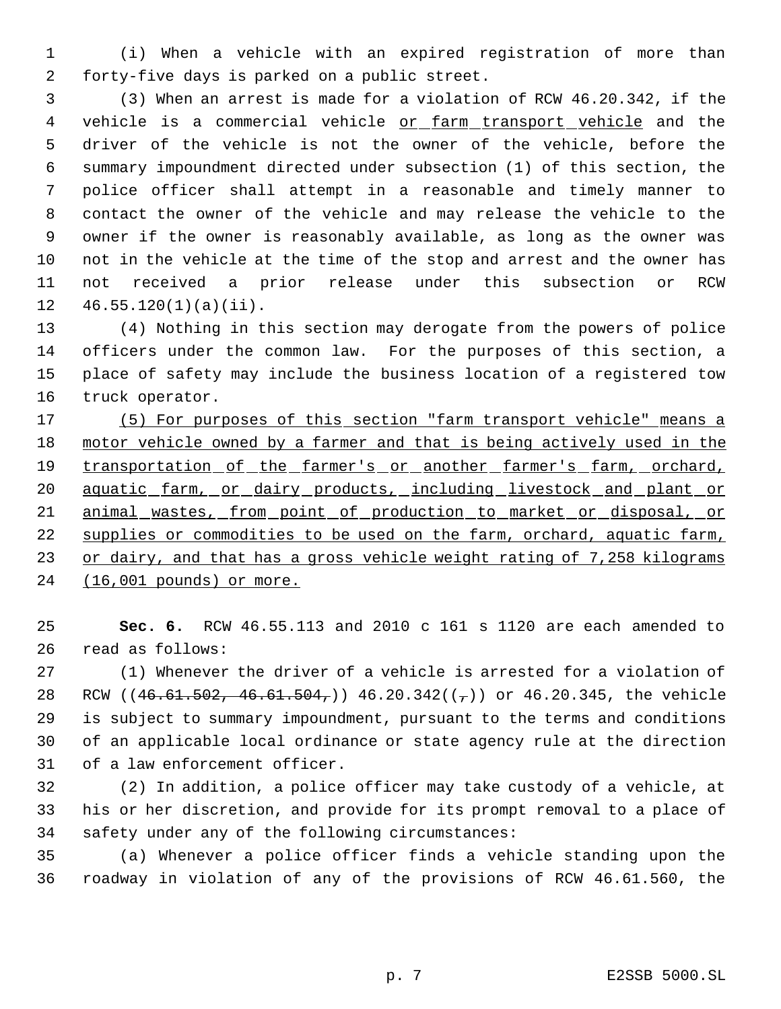(i) When a vehicle with an expired registration of more than forty-five days is parked on a public street.

 (3) When an arrest is made for a violation of RCW 46.20.342, if the 4 vehicle is a commercial vehicle or farm transport vehicle and the driver of the vehicle is not the owner of the vehicle, before the summary impoundment directed under subsection (1) of this section, the police officer shall attempt in a reasonable and timely manner to contact the owner of the vehicle and may release the vehicle to the owner if the owner is reasonably available, as long as the owner was not in the vehicle at the time of the stop and arrest and the owner has not received a prior release under this subsection or RCW  $12 \quad 46.55.120(1)(a)(ii)$ .

 (4) Nothing in this section may derogate from the powers of police officers under the common law. For the purposes of this section, a place of safety may include the business location of a registered tow truck operator.

 (5) For purposes of this section "farm transport vehicle" means a motor vehicle owned by a farmer and that is being actively used in the 19 transportation of the farmer's or another farmer's farm, orchard, 20 aquatic farm, or dairy products, including livestock and plant or 21 animal wastes, from point of production to market or disposal, or supplies or commodities to be used on the farm, orchard, aquatic farm, 23 or dairy, and that has a gross vehicle weight rating of 7,258 kilograms (16,001 pounds) or more.

 **Sec. 6.** RCW 46.55.113 and 2010 c 161 s 1120 are each amended to read as follows:

 (1) Whenever the driver of a vehicle is arrested for a violation of 28 RCW ((46.61.502, 46.61.504,)) 46.20.342( $(\tau)$ ) or 46.20.345, the vehicle is subject to summary impoundment, pursuant to the terms and conditions of an applicable local ordinance or state agency rule at the direction of a law enforcement officer.

 (2) In addition, a police officer may take custody of a vehicle, at his or her discretion, and provide for its prompt removal to a place of safety under any of the following circumstances:

 (a) Whenever a police officer finds a vehicle standing upon the roadway in violation of any of the provisions of RCW 46.61.560, the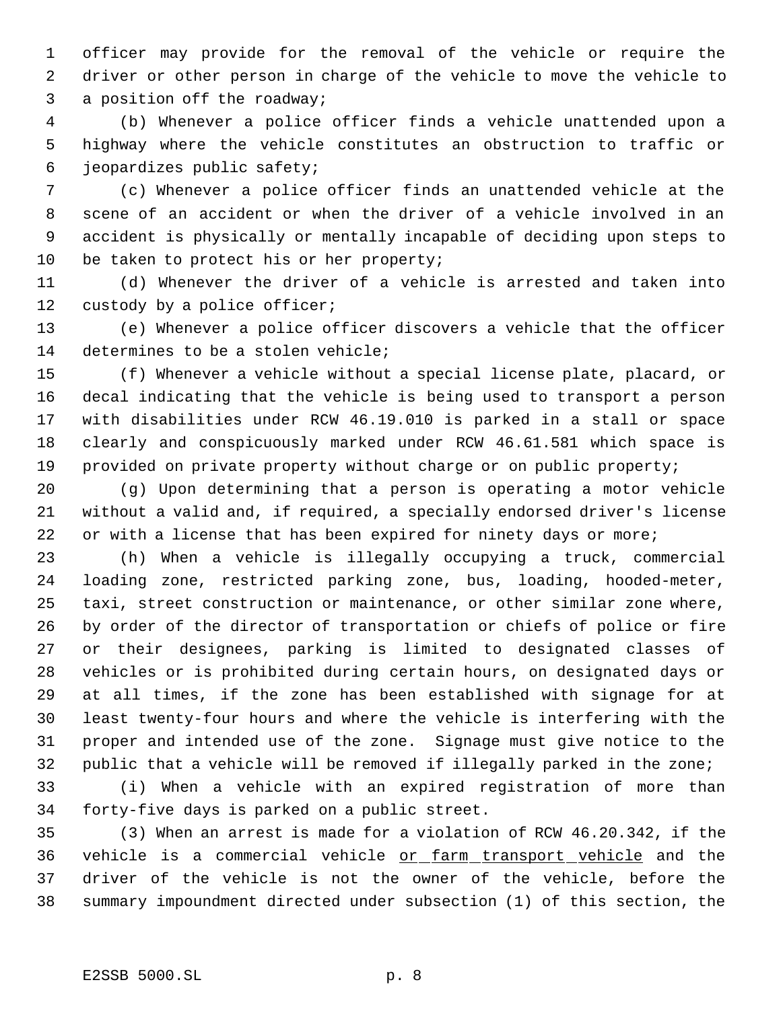officer may provide for the removal of the vehicle or require the driver or other person in charge of the vehicle to move the vehicle to a position off the roadway;

 (b) Whenever a police officer finds a vehicle unattended upon a highway where the vehicle constitutes an obstruction to traffic or jeopardizes public safety;

 (c) Whenever a police officer finds an unattended vehicle at the scene of an accident or when the driver of a vehicle involved in an accident is physically or mentally incapable of deciding upon steps to 10 be taken to protect his or her property;

 (d) Whenever the driver of a vehicle is arrested and taken into custody by a police officer;

 (e) Whenever a police officer discovers a vehicle that the officer determines to be a stolen vehicle;

 (f) Whenever a vehicle without a special license plate, placard, or decal indicating that the vehicle is being used to transport a person with disabilities under RCW 46.19.010 is parked in a stall or space clearly and conspicuously marked under RCW 46.61.581 which space is provided on private property without charge or on public property;

 (g) Upon determining that a person is operating a motor vehicle without a valid and, if required, a specially endorsed driver's license 22 or with a license that has been expired for ninety days or more;

 (h) When a vehicle is illegally occupying a truck, commercial loading zone, restricted parking zone, bus, loading, hooded-meter, taxi, street construction or maintenance, or other similar zone where, by order of the director of transportation or chiefs of police or fire or their designees, parking is limited to designated classes of vehicles or is prohibited during certain hours, on designated days or at all times, if the zone has been established with signage for at least twenty-four hours and where the vehicle is interfering with the proper and intended use of the zone. Signage must give notice to the public that a vehicle will be removed if illegally parked in the zone;

 (i) When a vehicle with an expired registration of more than forty-five days is parked on a public street.

 (3) When an arrest is made for a violation of RCW 46.20.342, if the vehicle is a commercial vehicle or farm transport vehicle and the driver of the vehicle is not the owner of the vehicle, before the summary impoundment directed under subsection (1) of this section, the